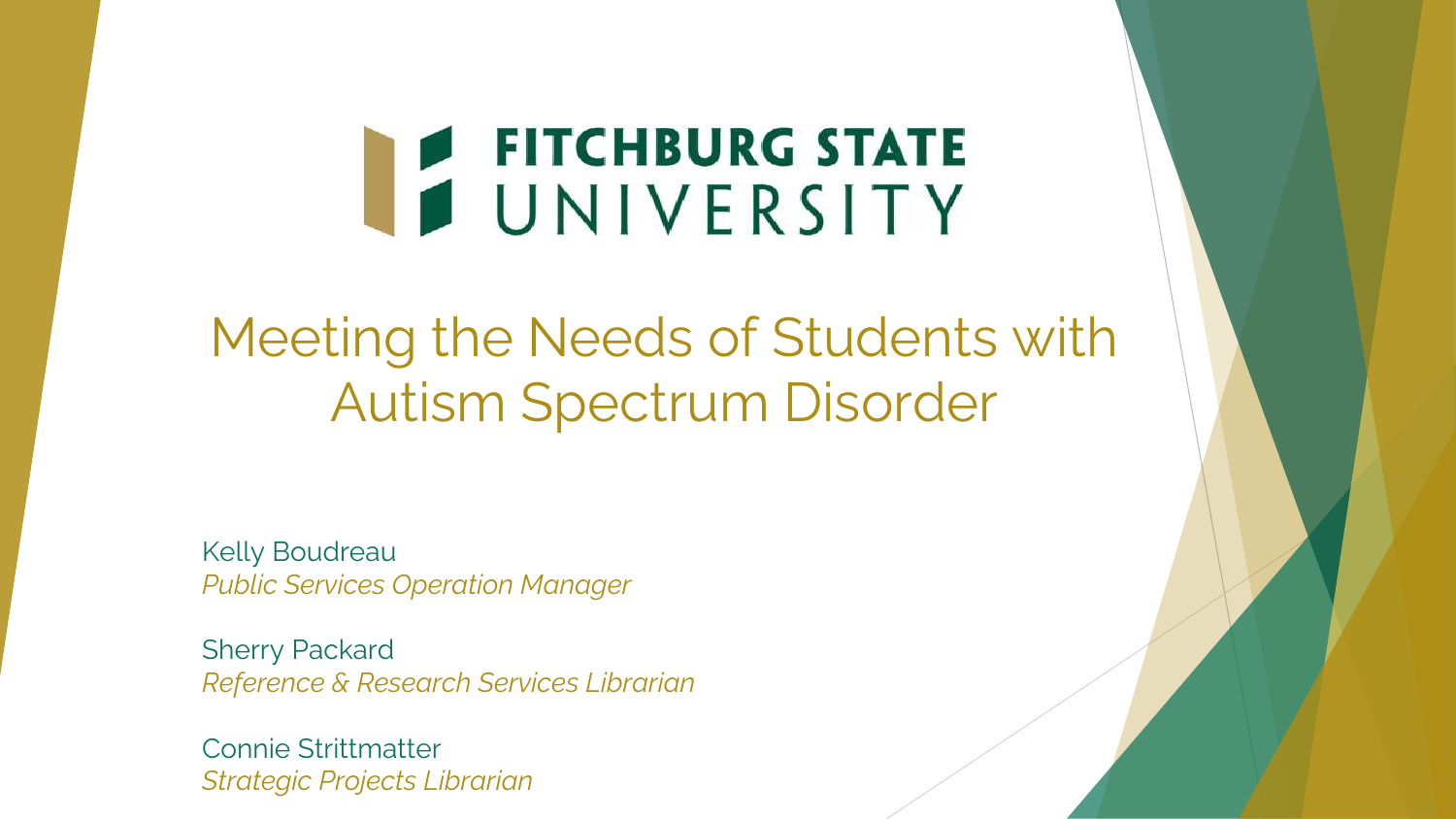# FITCHBURG STATE

Meeting the Needs of Students with Autism Spectrum Disorder

Kelly Boudreau *Public Services Operation Manager*

Sherry Packard *Reference & Research Services Librarian*

Connie Strittmatter *Strategic Projects Librarian*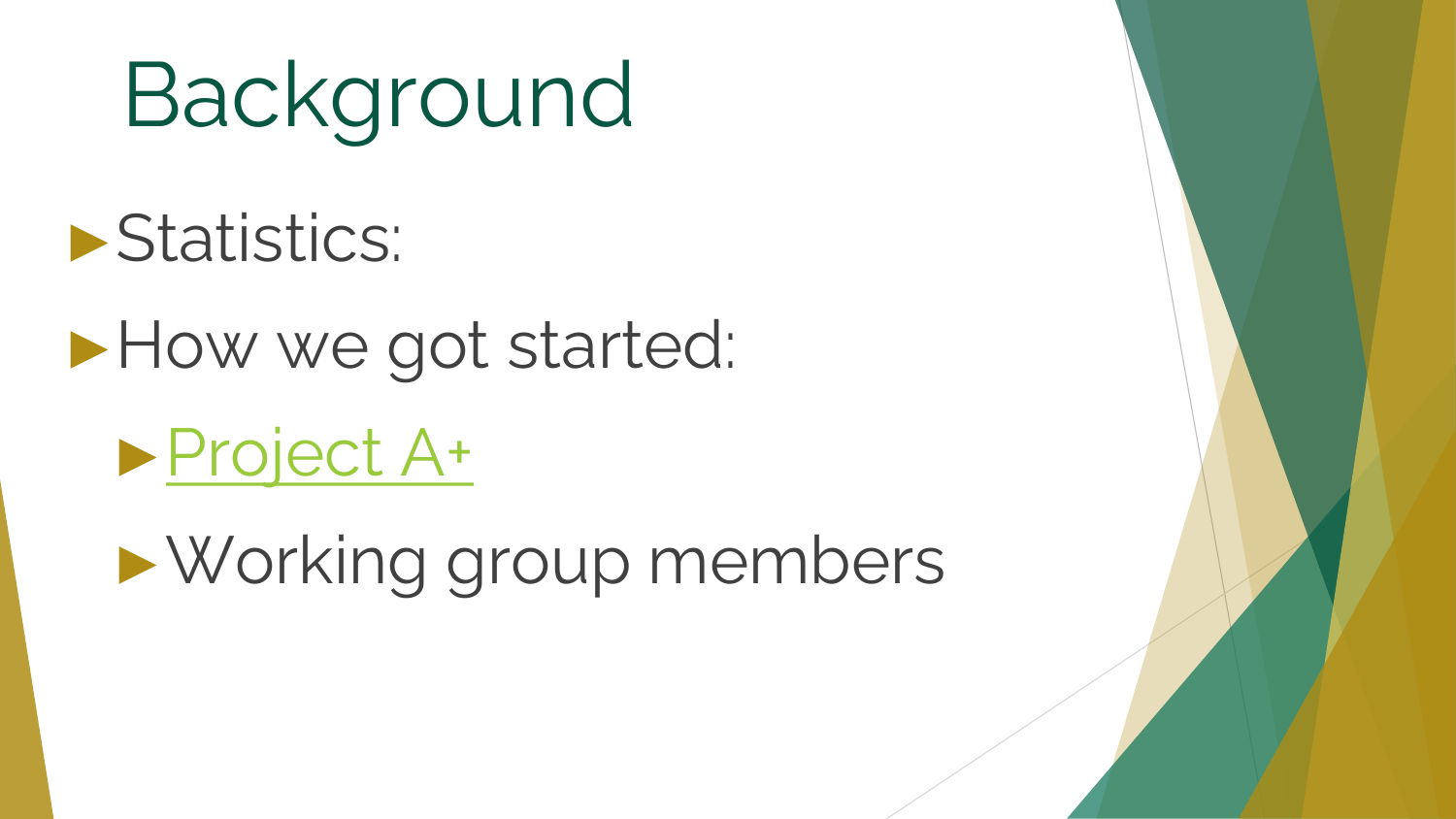Background

►Statistics:

►How we got started:

►[Project A+](https://aplus.cci.fsu.edu/)

►Working group members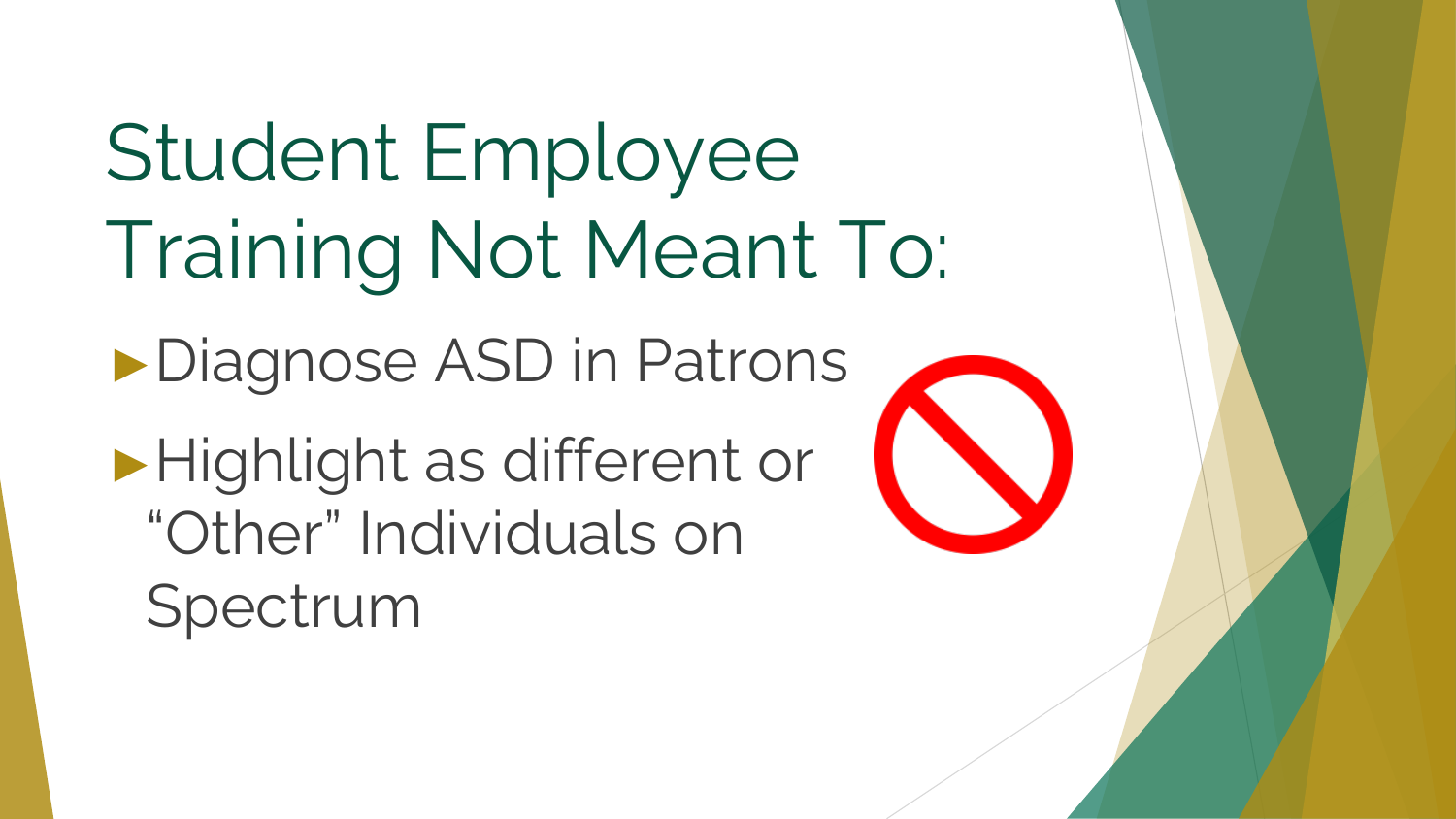Student Employee Training Not Meant To:

►Diagnose ASD in Patrons

►Highlight as different or "Other" Individuals on Spectrum

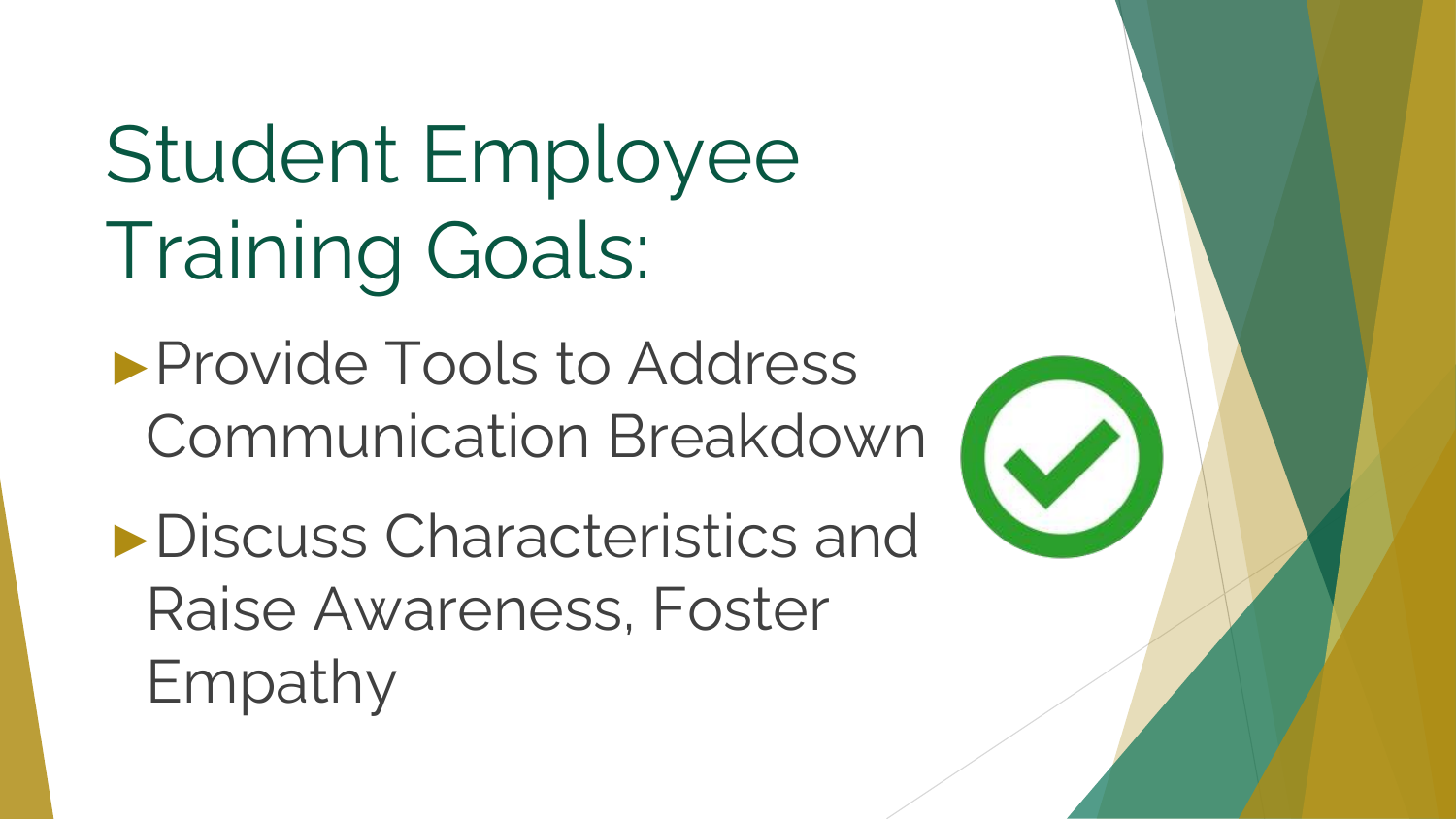## Student Employee Training Goals:

►Provide Tools to Address Communication Breakdown

►Discuss Characteristics and Raise Awareness, Foster Empathy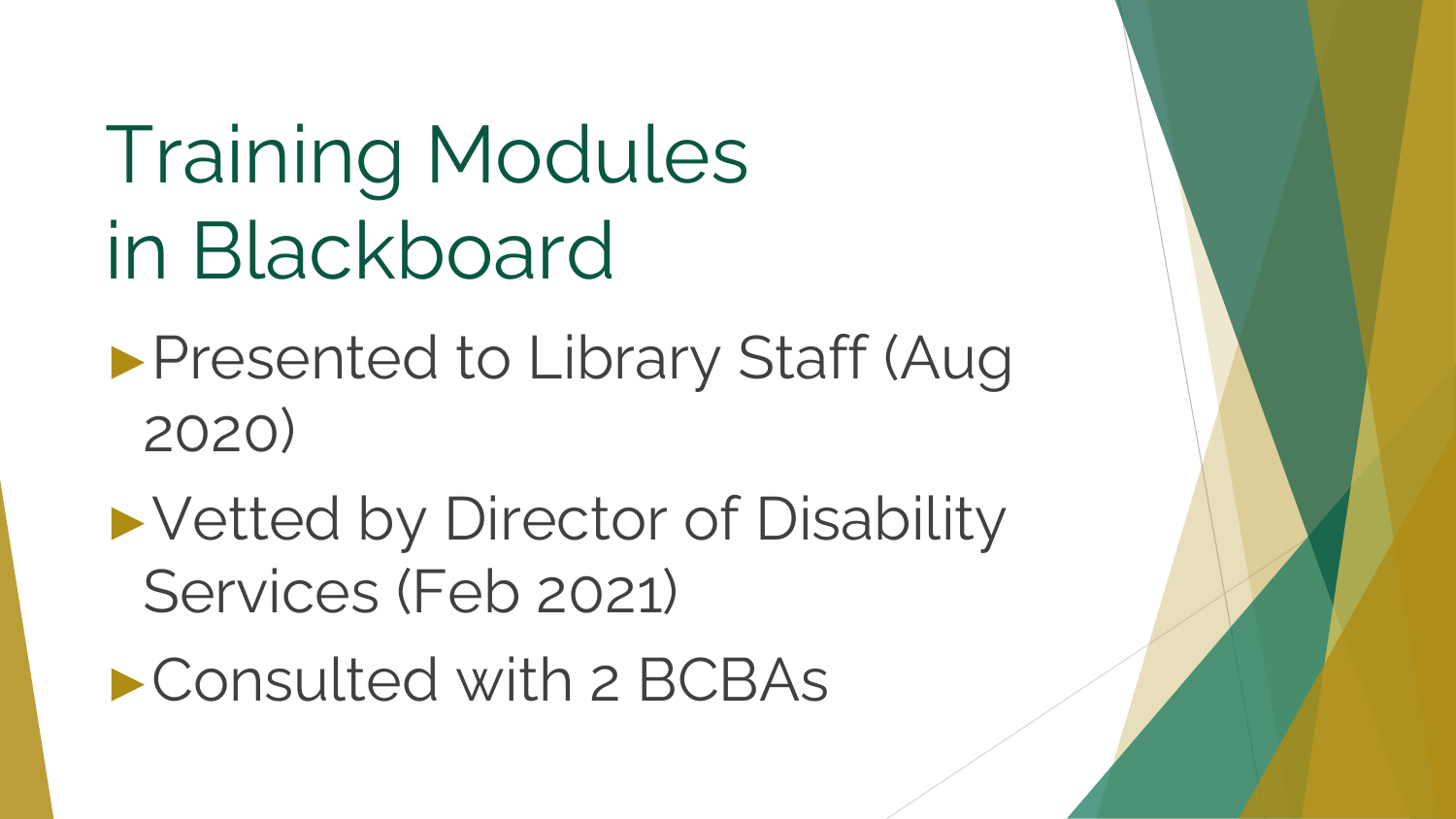## Training Modules in Blackboard

- ►Presented to Library Staff (Aug 2020)
- ►Vetted by Director of Disability Services (Feb 2021)
- ►Consulted with 2 BCBAs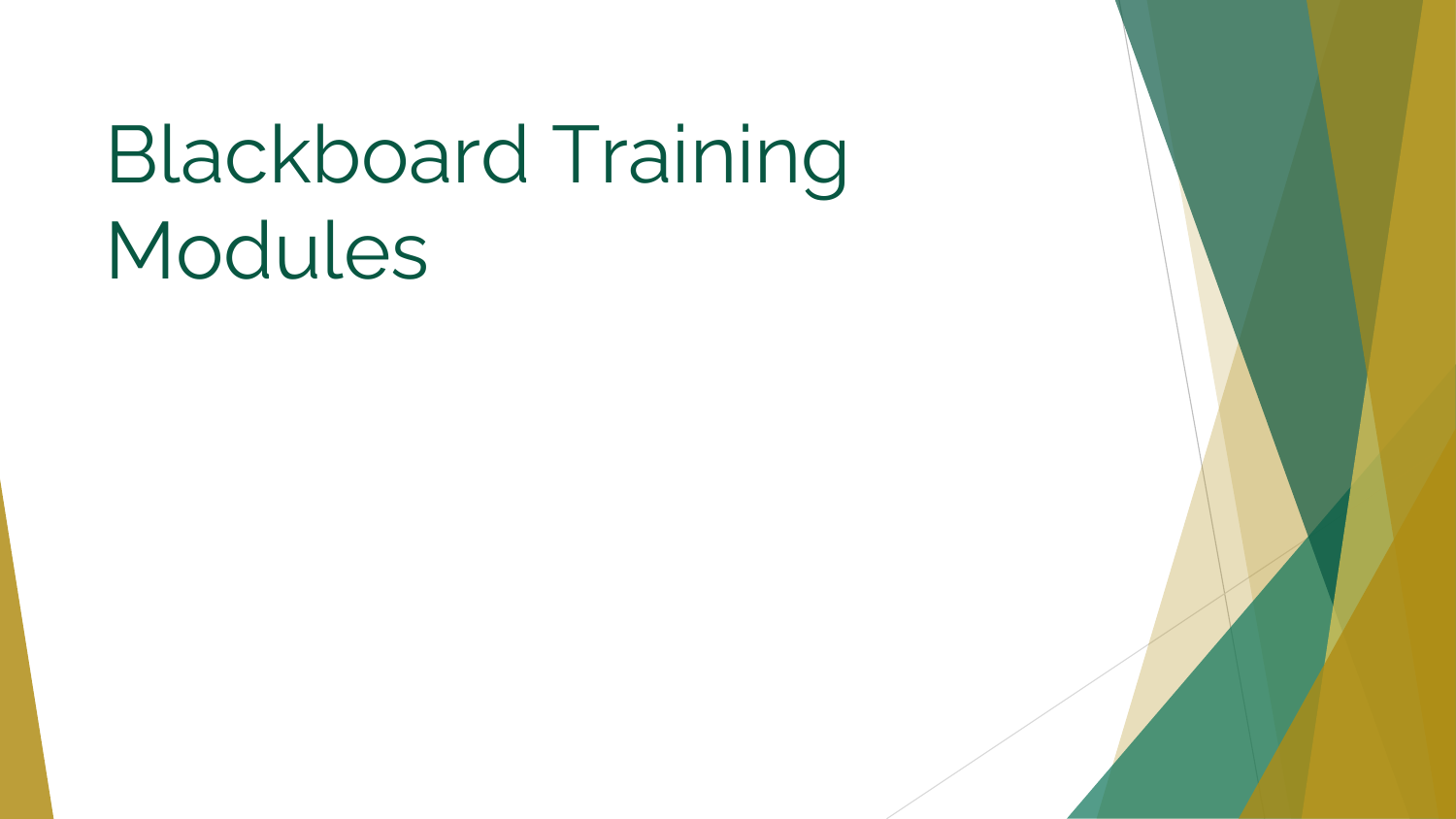## Blackboard Training Modules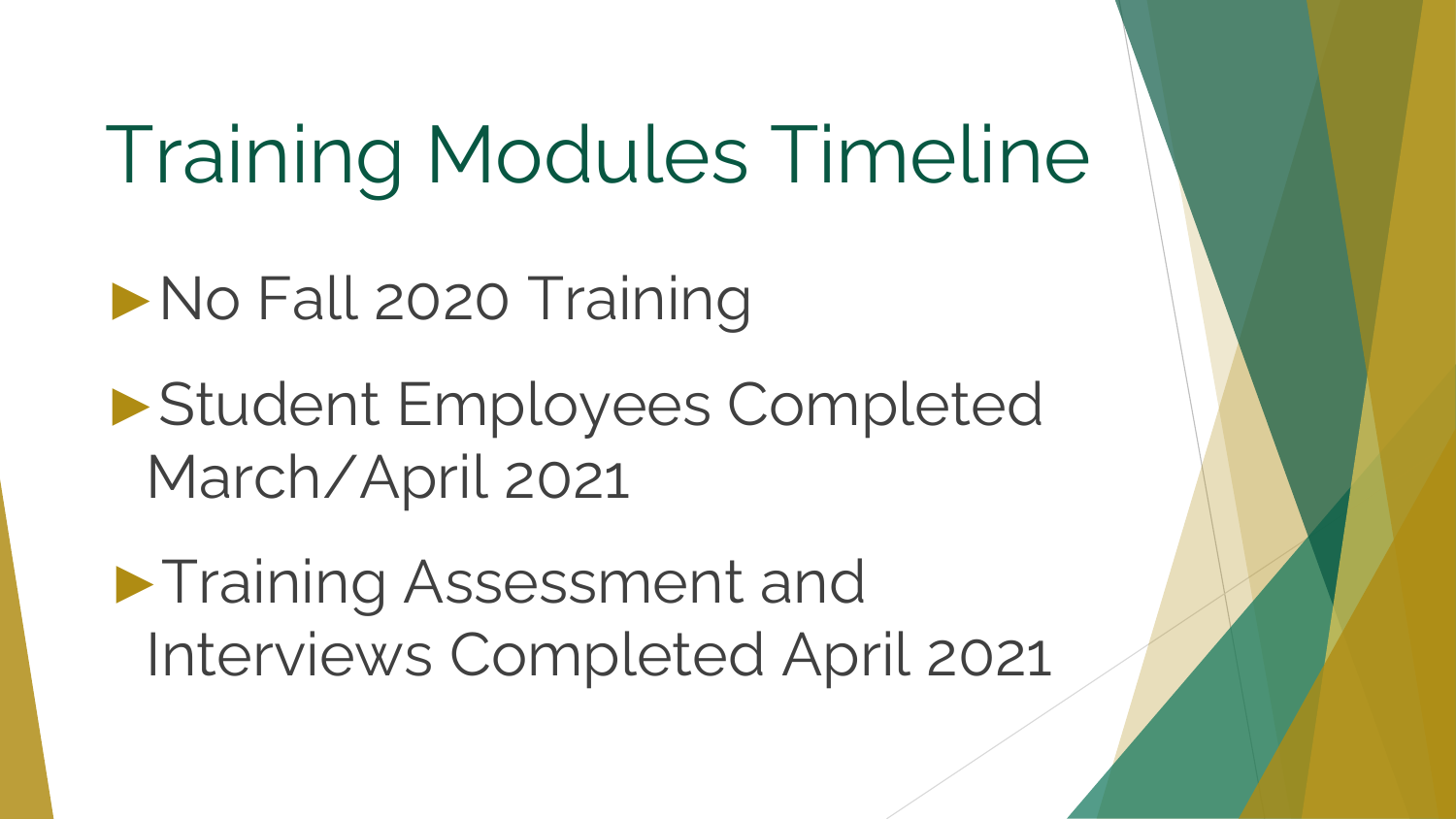## Training Modules Timeline

- ►No Fall 2020 Training
- ►Student Employees Completed March/April 2021
- ►Training Assessment and Interviews Completed April 2021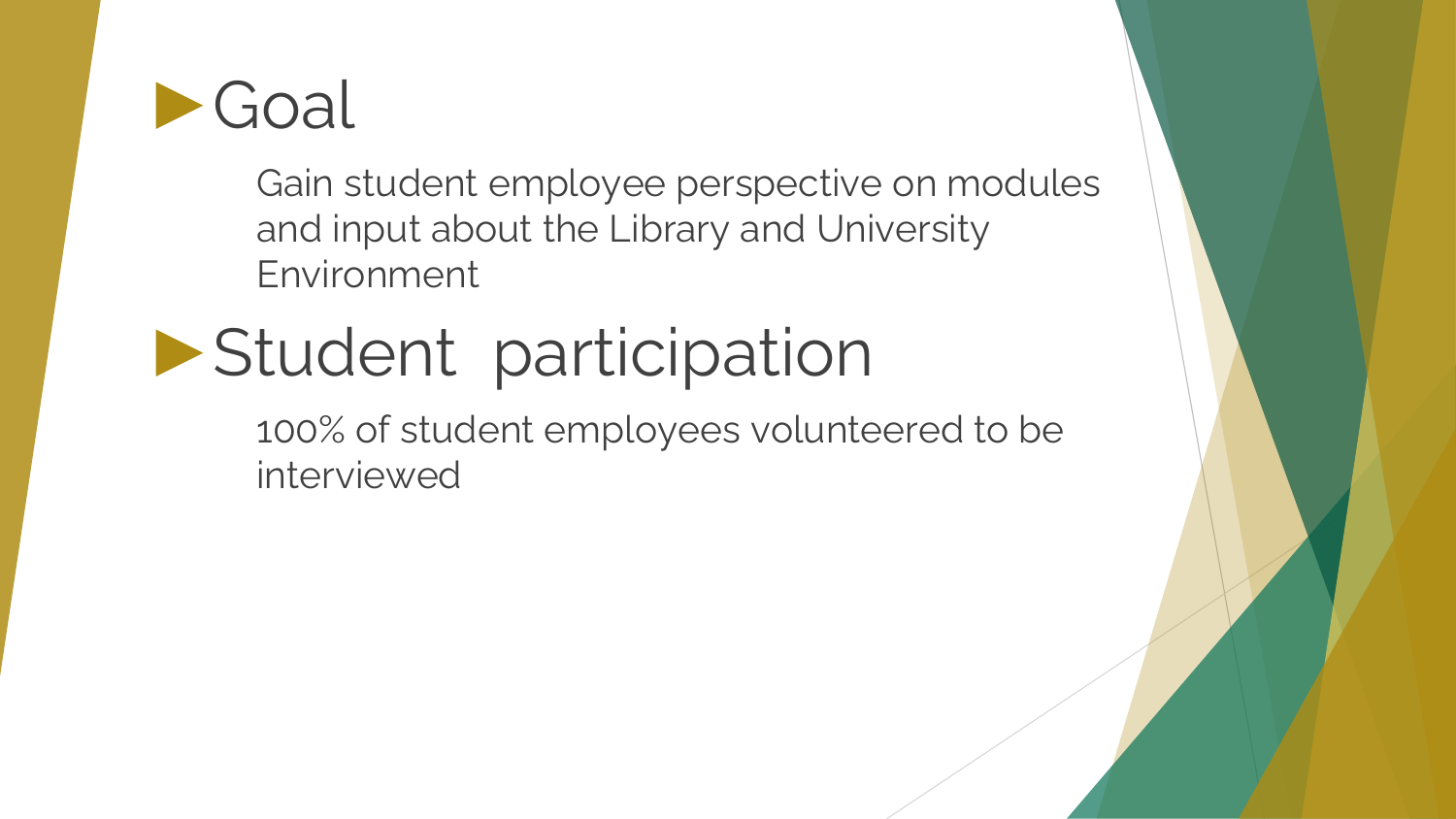

Gain student employee perspective on modules and input about the Library and University Environment

#### ►Student participation

100% of student employees volunteered to be interviewed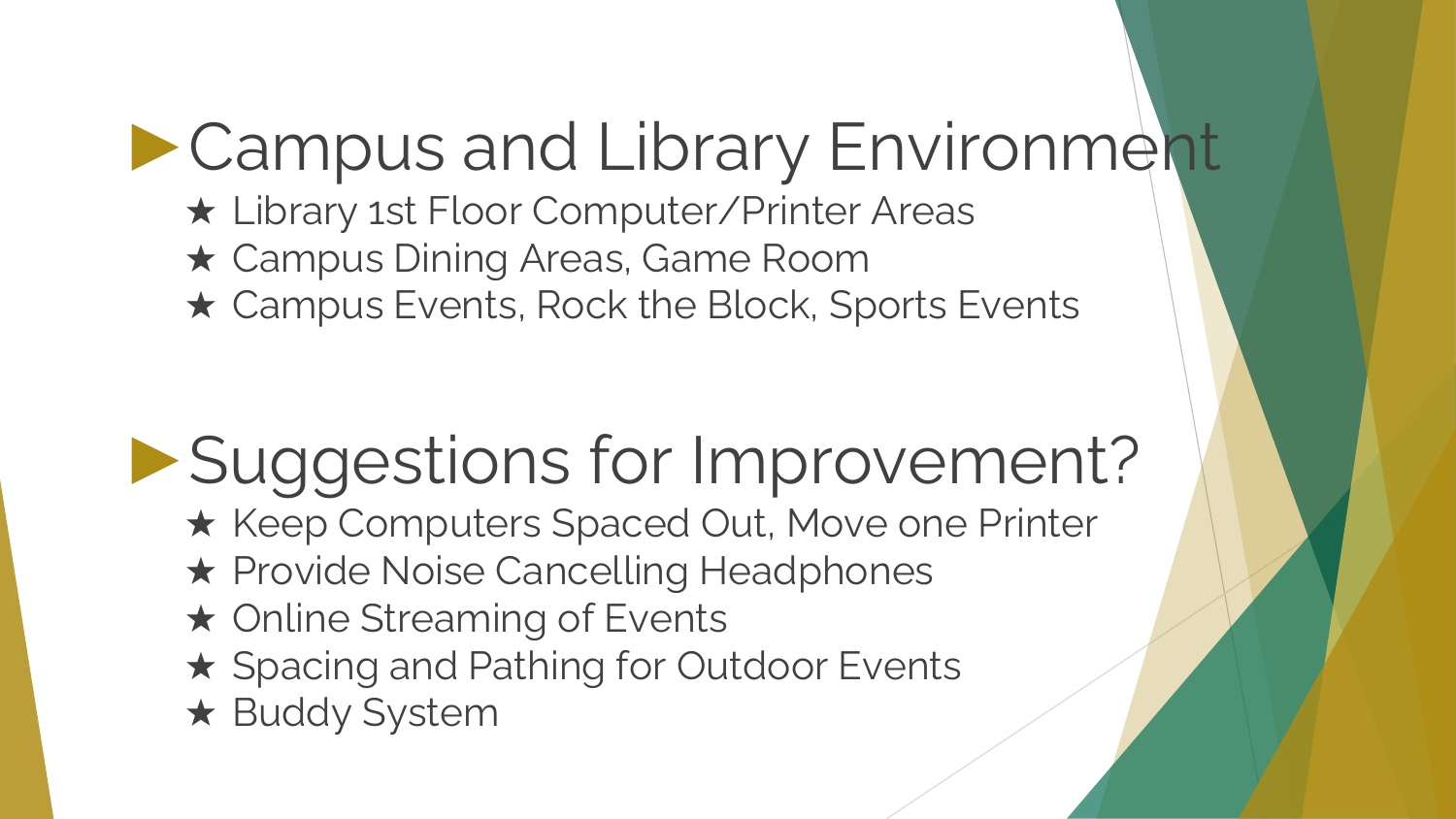#### ►Campus and Library Environment

- ★ Library 1st Floor Computer/Printer Areas
- ★ Campus Dining Areas, Game Room
- ★ Campus Events, Rock the Block, Sports Events

#### ►Suggestions for Improvement?

- ★ Keep Computers Spaced Out, Move one Printer
- ★ Provide Noise Cancelling Headphones
- ★ Online Streaming of Events
- ★ Spacing and Pathing for Outdoor Events
- ★ Buddy System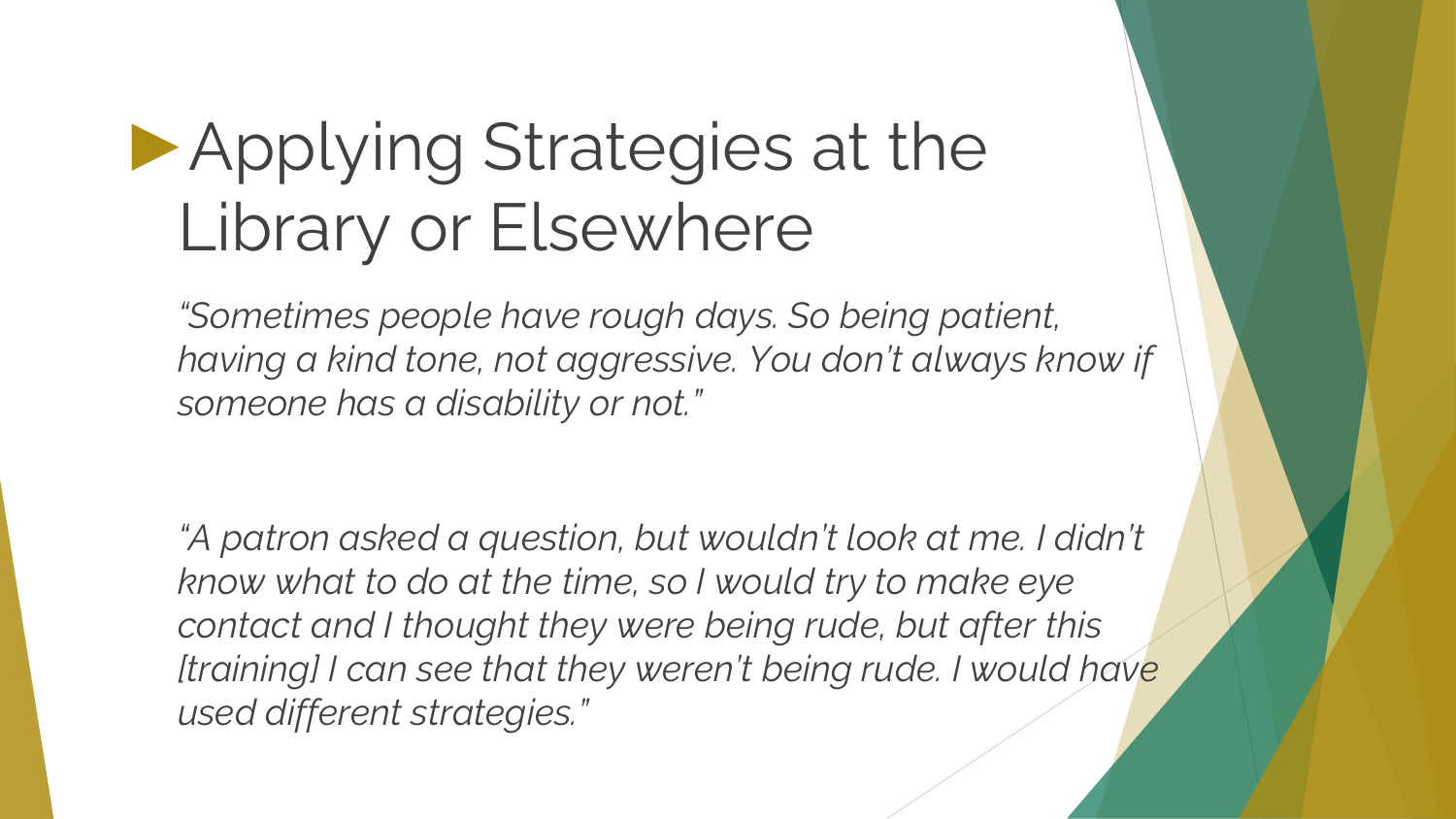#### ►Applying Strategies at the Library or Elsewhere

*"Sometimes people have rough days. So being patient, having a kind tone, not aggressive. You don't always know if someone has a disability or not."*

*"A patron asked a question, but wouldn't look at me. I didn't know what to do at the time, so I would try to make eye contact and I thought they were being rude, but after this [training] I can see that they weren't being rude. I would have used different strategies."*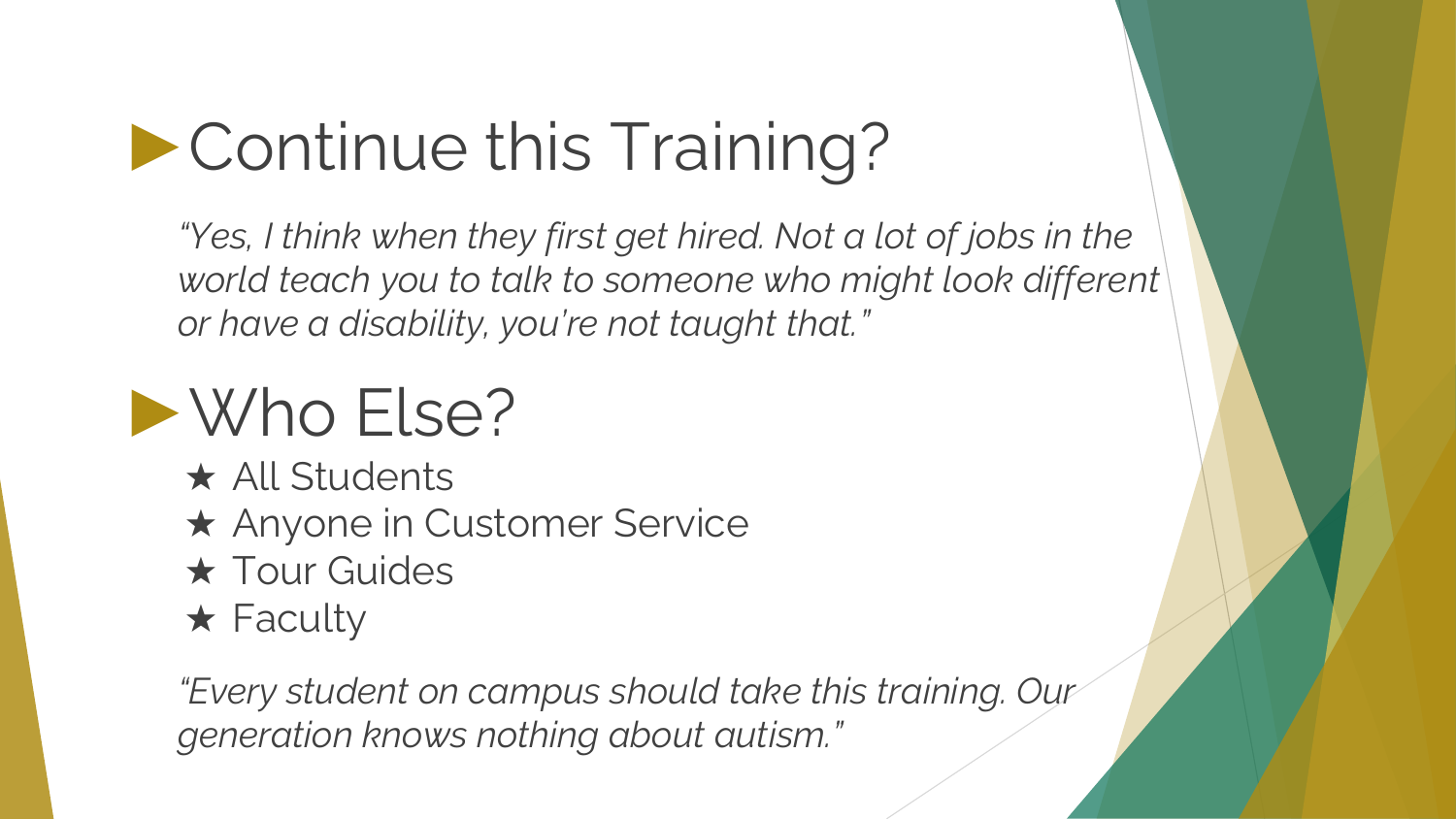#### ►Continue this Training?

*"Yes, I think when they first get hired. Not a lot of jobs in the world teach you to talk to someone who might look different or have a disability, you're not taught that."*

#### ►Who Else?

- ★ All Students
- ★ Anyone in Customer Service
- **★ Tour Guides**
- $\star$  Faculty

*"Every student on campus should take this training. Our generation knows nothing about autism."*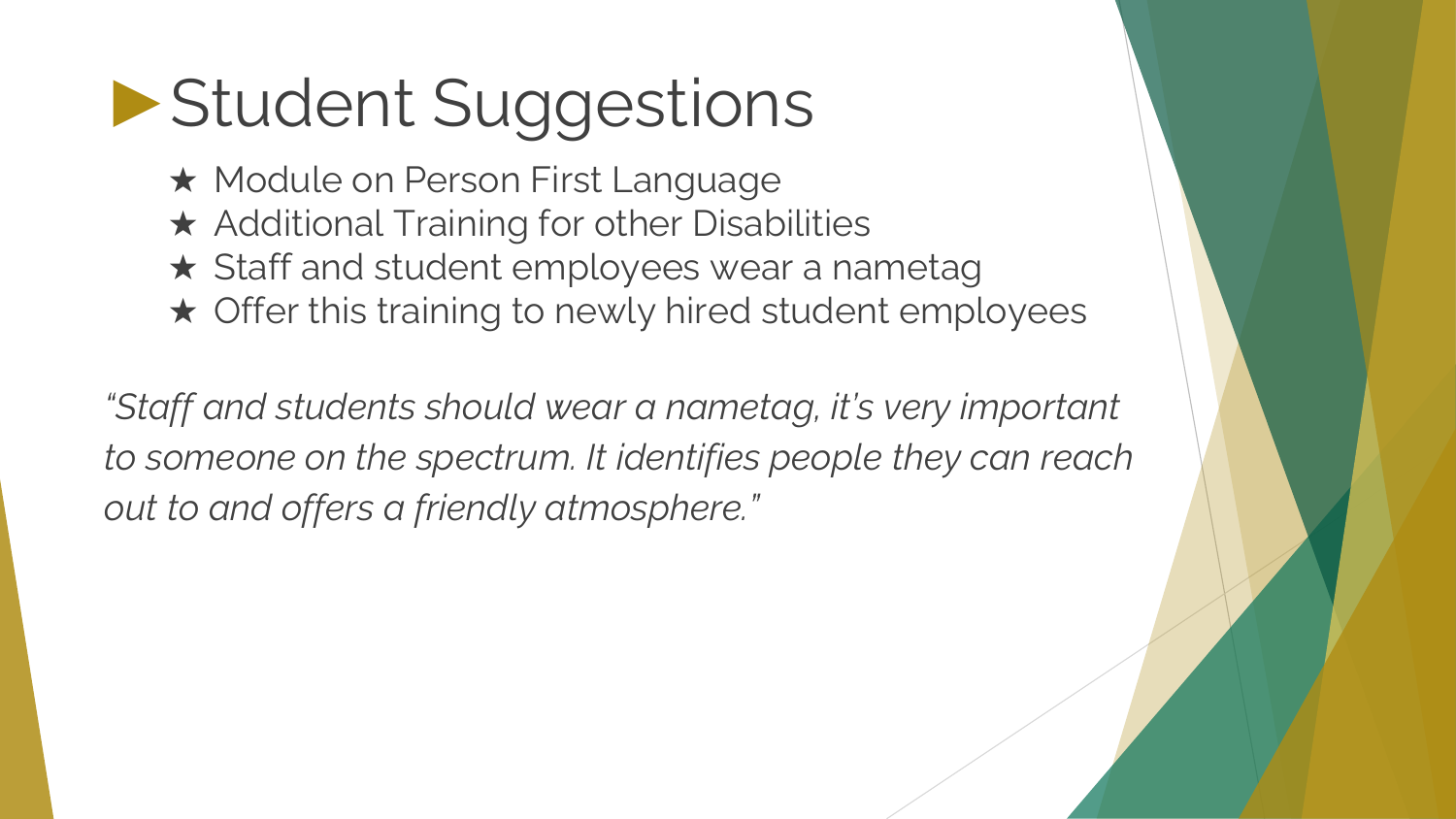#### ►Student Suggestions

- ★ Module on Person First Language
- ★ Additional Training for other Disabilities
- ★ Staff and student employees wear a nametag
- ★ Offer this training to newly hired student employees

*"Staff and students should wear a nametag, it's very important to someone on the spectrum. It identifies people they can reach out to and offers a friendly atmosphere."*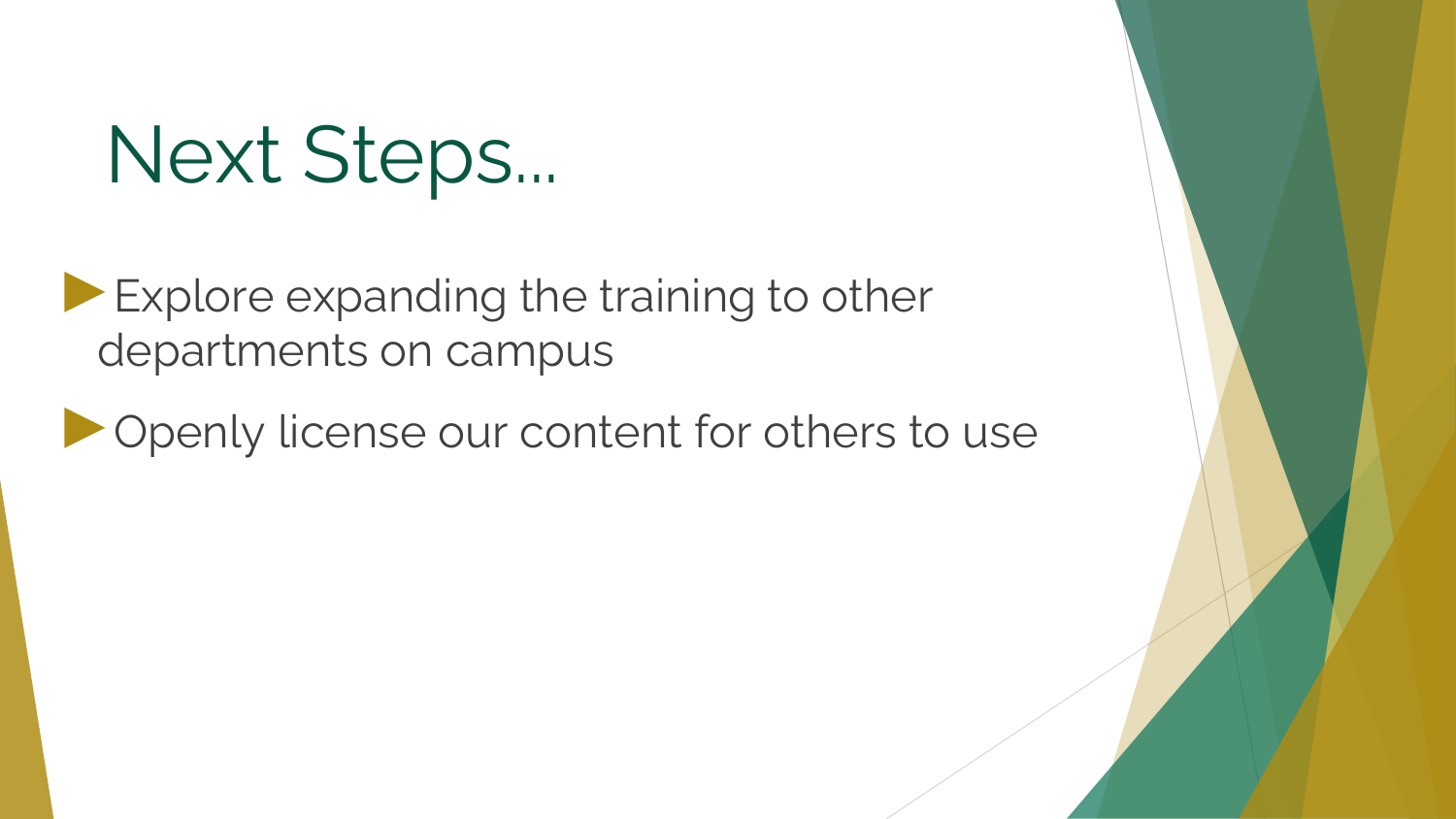### Next Steps...

► Explore expanding the training to other departments on campus

►Openly license our content for others to use